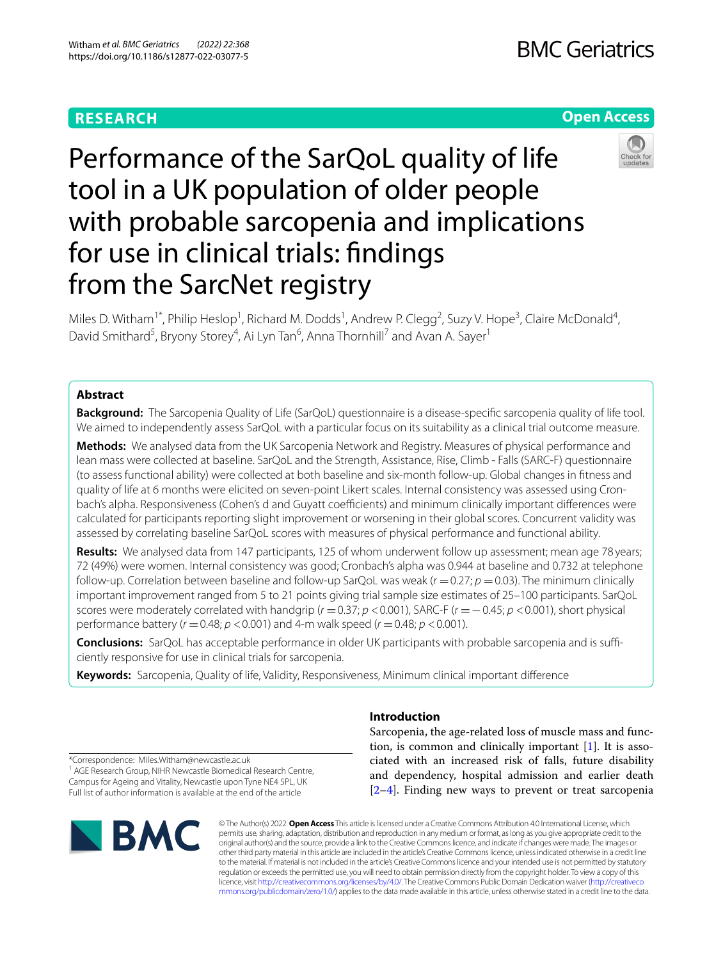# **RESEARCH**

# **Open Access**



# Performance of the SarQoL quality of life tool in a UK population of older people with probable sarcopenia and implications for use in clinical trials: fndings from the SarcNet registry

Miles D. Witham<sup>1\*</sup>, Philip Heslop<sup>1</sup>, Richard M. Dodds<sup>1</sup>, Andrew P. Clegg<sup>2</sup>, Suzy V. Hope<sup>3</sup>, Claire McDonald<sup>4</sup>, David Smithard<sup>5</sup>, Bryony Storey<sup>4</sup>, Ai Lyn Tan<sup>6</sup>, Anna Thornhill<sup>7</sup> and Avan A. Sayer<sup>1</sup>

# **Abstract**

**Background:** The Sarcopenia Quality of Life (SarQoL) questionnaire is a disease-specifc sarcopenia quality of life tool. We aimed to independently assess SarQoL with a particular focus on its suitability as a clinical trial outcome measure.

**Methods:** We analysed data from the UK Sarcopenia Network and Registry. Measures of physical performance and lean mass were collected at baseline. SarQoL and the Strength, Assistance, Rise, Climb - Falls (SARC-F) questionnaire (to assess functional ability) were collected at both baseline and six-month follow-up. Global changes in ftness and quality of life at 6 months were elicited on seven-point Likert scales. Internal consistency was assessed using Cronbach's alpha. Responsiveness (Cohen's d and Guyatt coefficients) and minimum clinically important differences were calculated for participants reporting slight improvement or worsening in their global scores. Concurrent validity was assessed by correlating baseline SarQoL scores with measures of physical performance and functional ability.

**Results:** We analysed data from 147 participants, 125 of whom underwent follow up assessment; mean age 78 years; 72 (49%) were women. Internal consistency was good; Cronbach's alpha was 0.944 at baseline and 0.732 at telephone follow-up. Correlation between baseline and follow-up SarQoL was weak  $(r = 0.27; p = 0.03)$ . The minimum clinically important improvement ranged from 5 to 21 points giving trial sample size estimates of 25–100 participants. SarQoL scores were moderately correlated with handgrip (*r* =0.37; *p* <0.001), SARC-F (*r* =−0.45; *p* <0.001), short physical performance battery (*r* =0.48; *p* <0.001) and 4-m walk speed (*r* =0.48; *p* <0.001).

**Conclusions:** SarQoL has acceptable performance in older UK participants with probable sarcopenia and is sufficiently responsive for use in clinical trials for sarcopenia.

**Keywords:** Sarcopenia, Quality of life, Validity, Responsiveness, Minimum clinical important diference

\*Correspondence: Miles.Witham@newcastle.ac.uk <sup>1</sup> AGE Research Group, NIHR Newcastle Biomedical Research Centre, Campus for Ageing and Vitality, Newcastle upon Tyne NE4 5PL, UK Full list of author information is available at the end of the article



# **Introduction**

Sarcopenia, the age-related loss of muscle mass and function, is common and clinically important [[1\]](#page-9-0). It is associated with an increased risk of falls, future disability and dependency, hospital admission and earlier death [[2–](#page-9-1)[4\]](#page-9-2). Finding new ways to prevent or treat sarcopenia

© The Author(s) 2022. **Open Access** This article is licensed under a Creative Commons Attribution 4.0 International License, which permits use, sharing, adaptation, distribution and reproduction in any medium or format, as long as you give appropriate credit to the original author(s) and the source, provide a link to the Creative Commons licence, and indicate if changes were made. The images or other third party material in this article are included in the article's Creative Commons licence, unless indicated otherwise in a credit line to the material. If material is not included in the article's Creative Commons licence and your intended use is not permitted by statutory regulation or exceeds the permitted use, you will need to obtain permission directly from the copyright holder. To view a copy of this licence, visit [http://creativecommons.org/licenses/by/4.0/.](http://creativecommons.org/licenses/by/4.0/) The Creative Commons Public Domain Dedication waiver ([http://creativeco](http://creativecommons.org/publicdomain/zero/1.0/) [mmons.org/publicdomain/zero/1.0/](http://creativecommons.org/publicdomain/zero/1.0/)) applies to the data made available in this article, unless otherwise stated in a credit line to the data.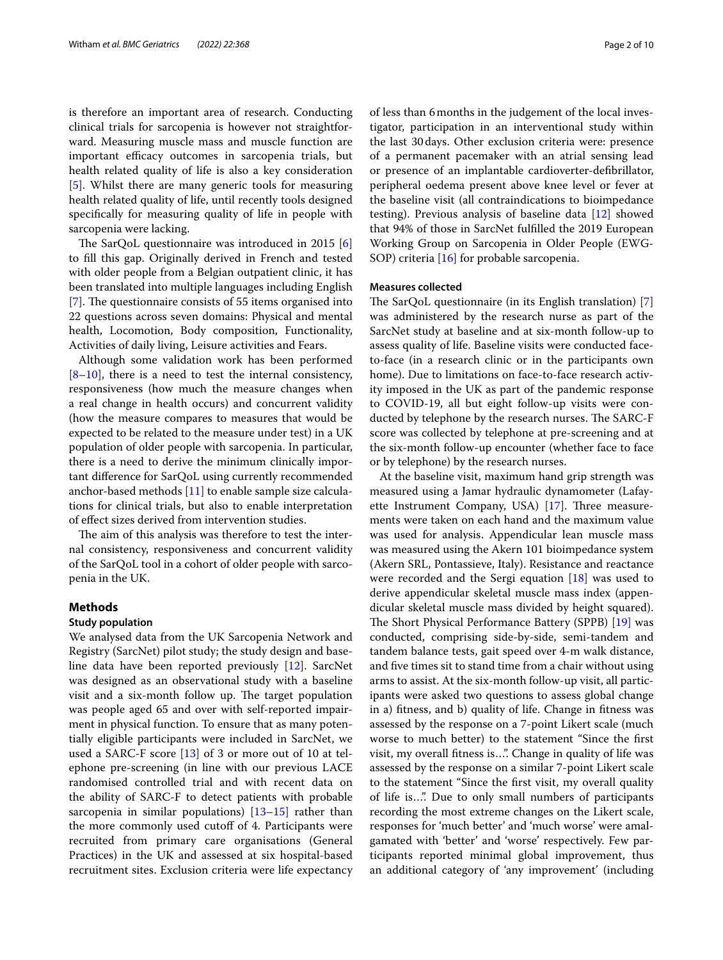is therefore an important area of research. Conducting clinical trials for sarcopenia is however not straightforward. Measuring muscle mass and muscle function are important efficacy outcomes in sarcopenia trials, but health related quality of life is also a key consideration [[5\]](#page-9-3). Whilst there are many generic tools for measuring health related quality of life, until recently tools designed specifcally for measuring quality of life in people with sarcopenia were lacking.

The SarQoL questionnaire was introduced in 2015  $[6]$  $[6]$ to fll this gap. Originally derived in French and tested with older people from a Belgian outpatient clinic, it has been translated into multiple languages including English [[7\]](#page-9-5). The questionnaire consists of 55 items organised into 22 questions across seven domains: Physical and mental health, Locomotion, Body composition, Functionality, Activities of daily living, Leisure activities and Fears.

Although some validation work has been performed  $[8-10]$  $[8-10]$ , there is a need to test the internal consistency, responsiveness (how much the measure changes when a real change in health occurs) and concurrent validity (how the measure compares to measures that would be expected to be related to the measure under test) in a UK population of older people with sarcopenia. In particular, there is a need to derive the minimum clinically important diference for SarQoL using currently recommended anchor-based methods [[11](#page-9-8)] to enable sample size calculations for clinical trials, but also to enable interpretation of efect sizes derived from intervention studies.

The aim of this analysis was therefore to test the internal consistency, responsiveness and concurrent validity of the SarQoL tool in a cohort of older people with sarcopenia in the UK.

## **Methods**

#### **Study population**

We analysed data from the UK Sarcopenia Network and Registry (SarcNet) pilot study; the study design and baseline data have been reported previously [[12](#page-9-9)]. SarcNet was designed as an observational study with a baseline visit and a six-month follow up. The target population was people aged 65 and over with self-reported impairment in physical function. To ensure that as many potentially eligible participants were included in SarcNet, we used a SARC-F score [[13](#page-9-10)] of 3 or more out of 10 at telephone pre-screening (in line with our previous LACE randomised controlled trial and with recent data on the ability of SARC-F to detect patients with probable sarcopenia in similar populations) [\[13](#page-9-10)[–15](#page-9-11)] rather than the more commonly used cutoff of 4. Participants were recruited from primary care organisations (General Practices) in the UK and assessed at six hospital-based recruitment sites. Exclusion criteria were life expectancy of less than 6months in the judgement of the local investigator, participation in an interventional study within the last 30days. Other exclusion criteria were: presence of a permanent pacemaker with an atrial sensing lead or presence of an implantable cardioverter-defbrillator, peripheral oedema present above knee level or fever at the baseline visit (all contraindications to bioimpedance testing). Previous analysis of baseline data [\[12](#page-9-9)] showed that 94% of those in SarcNet fulflled the 2019 European Working Group on Sarcopenia in Older People (EWG-SOP) criteria [[16](#page-9-12)] for probable sarcopenia.

#### **Measures collected**

The SarQoL questionnaire (in its English translation)  $[7]$  $[7]$ was administered by the research nurse as part of the SarcNet study at baseline and at six-month follow-up to assess quality of life. Baseline visits were conducted faceto-face (in a research clinic or in the participants own home). Due to limitations on face-to-face research activity imposed in the UK as part of the pandemic response to COVID-19, all but eight follow-up visits were conducted by telephone by the research nurses. The SARC-F score was collected by telephone at pre-screening and at the six-month follow-up encounter (whether face to face or by telephone) by the research nurses.

At the baseline visit, maximum hand grip strength was measured using a Jamar hydraulic dynamometer (Lafayette Instrument Company, USA)  $[17]$ . Three measurements were taken on each hand and the maximum value was used for analysis. Appendicular lean muscle mass was measured using the Akern 101 bioimpedance system (Akern SRL, Pontassieve, Italy). Resistance and reactance were recorded and the Sergi equation [\[18](#page-9-14)] was used to derive appendicular skeletal muscle mass index (appendicular skeletal muscle mass divided by height squared). The Short Physical Performance Battery (SPPB) [\[19](#page-9-15)] was conducted, comprising side-by-side, semi-tandem and tandem balance tests, gait speed over 4-m walk distance, and fve times sit to stand time from a chair without using arms to assist. At the six-month follow-up visit, all participants were asked two questions to assess global change in a) ftness, and b) quality of life. Change in ftness was assessed by the response on a 7-point Likert scale (much worse to much better) to the statement "Since the frst visit, my overall ftness is…". Change in quality of life was assessed by the response on a similar 7-point Likert scale to the statement "Since the frst visit, my overall quality of life is…". Due to only small numbers of participants recording the most extreme changes on the Likert scale, responses for 'much better' and 'much worse' were amalgamated with 'better' and 'worse' respectively. Few participants reported minimal global improvement, thus an additional category of 'any improvement' (including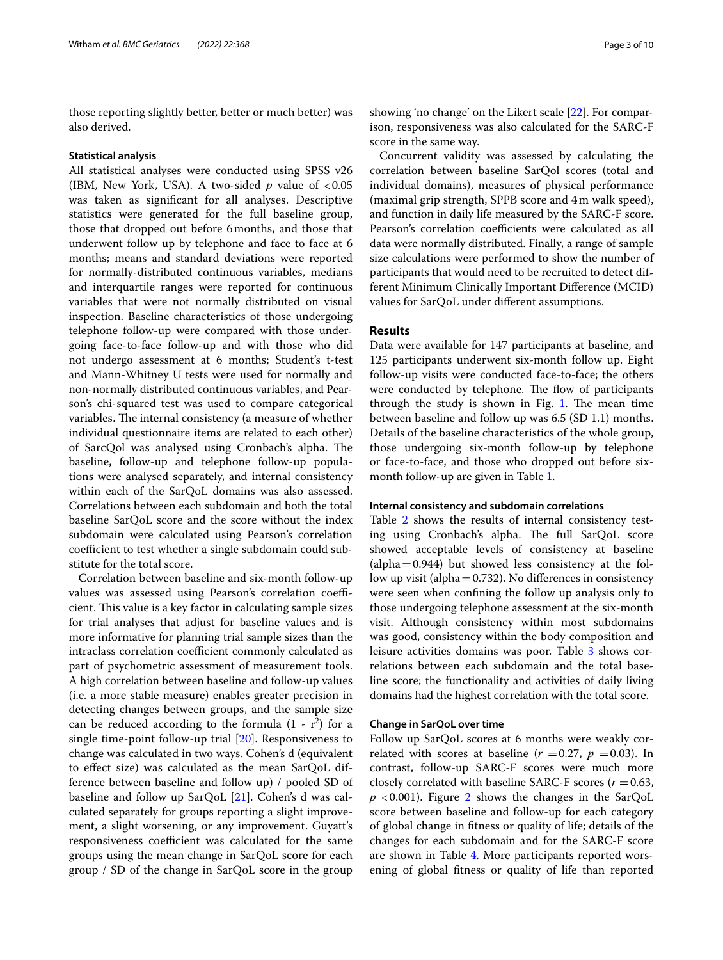those reporting slightly better, better or much better) was also derived.

#### **Statistical analysis**

All statistical analyses were conducted using SPSS v26 (IBM, New York, USA). A two-sided  $p$  value of  $< 0.05$ was taken as signifcant for all analyses. Descriptive statistics were generated for the full baseline group, those that dropped out before 6months, and those that underwent follow up by telephone and face to face at 6 months; means and standard deviations were reported for normally-distributed continuous variables, medians and interquartile ranges were reported for continuous variables that were not normally distributed on visual inspection. Baseline characteristics of those undergoing telephone follow-up were compared with those undergoing face-to-face follow-up and with those who did not undergo assessment at 6 months; Student's t-test and Mann-Whitney U tests were used for normally and non-normally distributed continuous variables, and Pearson's chi-squared test was used to compare categorical variables. The internal consistency (a measure of whether individual questionnaire items are related to each other) of SarcQol was analysed using Cronbach's alpha. The baseline, follow-up and telephone follow-up populations were analysed separately, and internal consistency within each of the SarQoL domains was also assessed. Correlations between each subdomain and both the total baseline SarQoL score and the score without the index subdomain were calculated using Pearson's correlation coefficient to test whether a single subdomain could substitute for the total score.

Correlation between baseline and six-month follow-up values was assessed using Pearson's correlation coefficient. This value is a key factor in calculating sample sizes for trial analyses that adjust for baseline values and is more informative for planning trial sample sizes than the intraclass correlation coefficient commonly calculated as part of psychometric assessment of measurement tools. A high correlation between baseline and follow-up values (i.e. a more stable measure) enables greater precision in detecting changes between groups, and the sample size can be reduced according to the formula  $(1 - r^2)$  for a single time-point follow-up trial [\[20\]](#page-9-16). Responsiveness to change was calculated in two ways. Cohen's d (equivalent to efect size) was calculated as the mean SarQoL difference between baseline and follow up) / pooled SD of baseline and follow up SarQoL [\[21](#page-9-17)]. Cohen's d was calculated separately for groups reporting a slight improvement, a slight worsening, or any improvement. Guyatt's responsiveness coefficient was calculated for the same groups using the mean change in SarQoL score for each group / SD of the change in SarQoL score in the group

showing 'no change' on the Likert scale [\[22](#page-9-18)]. For comparison, responsiveness was also calculated for the SARC-F score in the same way.

Concurrent validity was assessed by calculating the correlation between baseline SarQol scores (total and individual domains), measures of physical performance (maximal grip strength, SPPB score and 4m walk speed), and function in daily life measured by the SARC-F score. Pearson's correlation coefficients were calculated as all data were normally distributed. Finally, a range of sample size calculations were performed to show the number of participants that would need to be recruited to detect different Minimum Clinically Important Diference (MCID) values for SarQoL under diferent assumptions.

#### **Results**

Data were available for 147 participants at baseline, and 125 participants underwent six-month follow up. Eight follow-up visits were conducted face-to-face; the others were conducted by telephone. The flow of participants through the study is shown in Fig.  $1$ . The mean time between baseline and follow up was 6.5 (SD 1.1) months. Details of the baseline characteristics of the whole group, those undergoing six-month follow-up by telephone or face-to-face, and those who dropped out before sixmonth follow-up are given in Table [1](#page-4-0).

#### **Internal consistency and subdomain correlations**

Table [2](#page-4-1) shows the results of internal consistency testing using Cronbach's alpha. The full SarQoL score showed acceptable levels of consistency at baseline  $\alpha$  (alpha = 0.944) but showed less consistency at the follow up visit (alpha $=0.732$ ). No differences in consistency were seen when confning the follow up analysis only to those undergoing telephone assessment at the six-month visit. Although consistency within most subdomains was good, consistency within the body composition and leisure activities domains was poor. Table [3](#page-5-0) shows correlations between each subdomain and the total baseline score; the functionality and activities of daily living domains had the highest correlation with the total score.

#### **Change in SarQoL over time**

Follow up SarQoL scores at 6 months were weakly correlated with scores at baseline  $(r = 0.27, p = 0.03)$ . In contrast, follow-up SARC-F scores were much more closely correlated with baseline SARC-F scores  $(r = 0.63,$  $p$  <0.001). Figure [2](#page-5-1) shows the changes in the SarQoL score between baseline and follow-up for each category of global change in ftness or quality of life; details of the changes for each subdomain and for the SARC-F score are shown in Table [4.](#page-6-0) More participants reported worsening of global ftness or quality of life than reported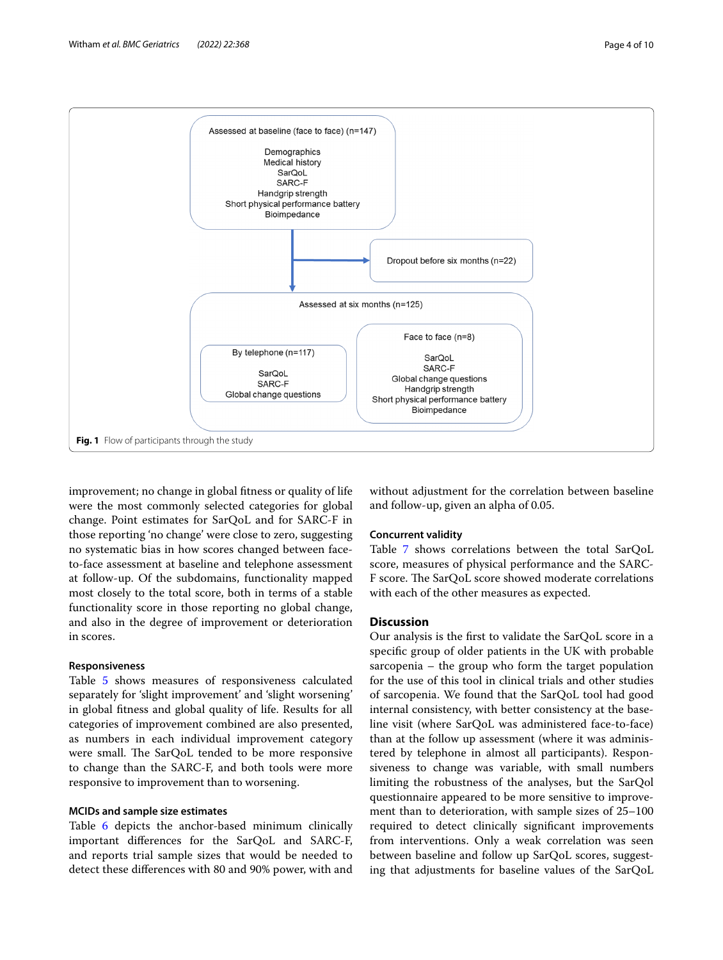

<span id="page-3-0"></span>improvement; no change in global ftness or quality of life were the most commonly selected categories for global change. Point estimates for SarQoL and for SARC-F in those reporting 'no change' were close to zero, suggesting no systematic bias in how scores changed between faceto-face assessment at baseline and telephone assessment at follow-up. Of the subdomains, functionality mapped most closely to the total score, both in terms of a stable functionality score in those reporting no global change, and also in the degree of improvement or deterioration in scores.

# **Responsiveness**

Table [5](#page-6-1) shows measures of responsiveness calculated separately for 'slight improvement' and 'slight worsening' in global ftness and global quality of life. Results for all categories of improvement combined are also presented, as numbers in each individual improvement category were small. The SarQoL tended to be more responsive to change than the SARC-F, and both tools were more responsive to improvement than to worsening.

## **MCIDs and sample size estimates**

Table [6](#page-7-0) depicts the anchor-based minimum clinically important diferences for the SarQoL and SARC-F, and reports trial sample sizes that would be needed to detect these diferences with 80 and 90% power, with and without adjustment for the correlation between baseline and follow-up, given an alpha of 0.05.

# **Concurrent validity**

Table [7](#page-7-1) shows correlations between the total SarQoL score, measures of physical performance and the SARC-F score. The SarQoL score showed moderate correlations with each of the other measures as expected.

## **Discussion**

Our analysis is the frst to validate the SarQoL score in a specifc group of older patients in the UK with probable sarcopenia – the group who form the target population for the use of this tool in clinical trials and other studies of sarcopenia. We found that the SarQoL tool had good internal consistency, with better consistency at the baseline visit (where SarQoL was administered face-to-face) than at the follow up assessment (where it was administered by telephone in almost all participants). Responsiveness to change was variable, with small numbers limiting the robustness of the analyses, but the SarQol questionnaire appeared to be more sensitive to improvement than to deterioration, with sample sizes of 25–100 required to detect clinically signifcant improvements from interventions. Only a weak correlation was seen between baseline and follow up SarQoL scores, suggesting that adjustments for baseline values of the SarQoL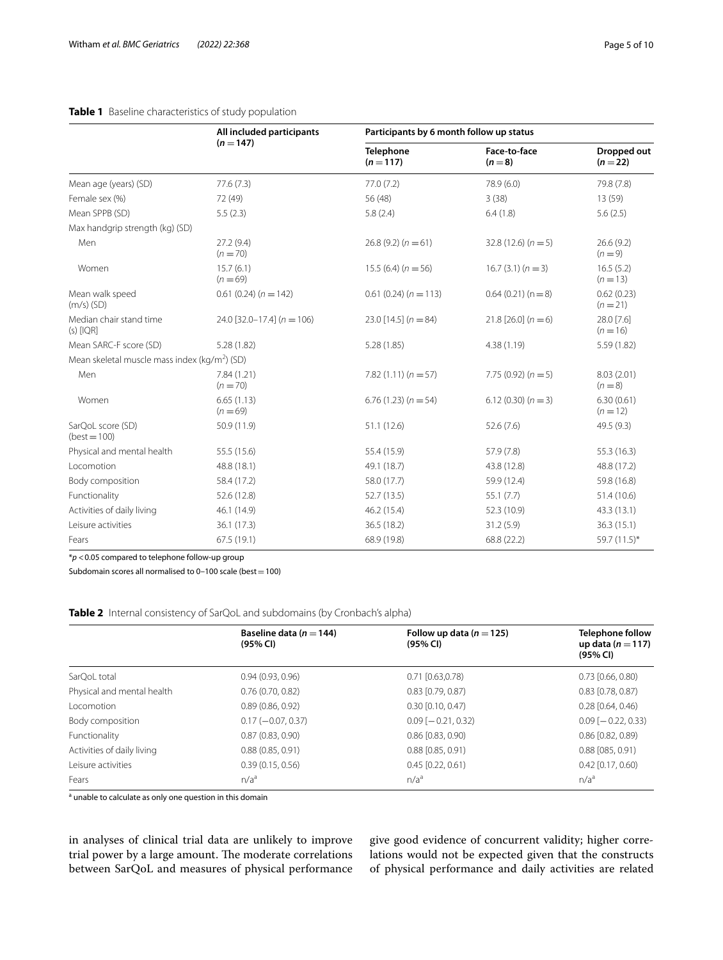# **Table 1** Baseline characteristics of study population

|                                                           | All included participants    |                               | Participants by 6 month follow up status |                                |  |  |  |
|-----------------------------------------------------------|------------------------------|-------------------------------|------------------------------------------|--------------------------------|--|--|--|
|                                                           | $(n=147)$                    | <b>Telephone</b><br>$(n=117)$ | Face-to-face<br>$(n=8)$                  | <b>Dropped out</b><br>$(n=22)$ |  |  |  |
| Mean age (years) (SD)                                     | 77.6(7.3)                    | 77.0(7.2)                     | 78.9 (6.0)                               | 79.8 (7.8)                     |  |  |  |
| Female sex (%)                                            | 72 (49)                      | 56 (48)                       | 3(38)                                    | 13(59)                         |  |  |  |
| Mean SPPB (SD)                                            | 5.5(2.3)                     | 5.8(2.4)                      | 6.4(1.8)                                 | 5.6(2.5)                       |  |  |  |
| Max handgrip strength (kg) (SD)                           |                              |                               |                                          |                                |  |  |  |
| Men                                                       | 27.2 (9.4)<br>$(n = 70)$     | $26.8(9.2)(n=61)$             | $32.8(12.6)(n=5)$                        | 26.6(9.2)<br>$(n=9)$           |  |  |  |
| Women                                                     | 15.7(6.1)<br>$(n = 69)$      | $15.5(6.4)(n=56)$             | $16.7(3.1)(n=3)$                         | 16.5(5.2)<br>$(n = 13)$        |  |  |  |
| Mean walk speed<br>$(m/s)$ (SD)                           | $0.61(0.24)(n = 142)$        | $0.61(0.24)(n = 113)$         | $0.64(0.21)(n=8)$                        | 0.62(0.23)<br>$(n=21)$         |  |  |  |
| Median chair stand time<br>$(s)$ [IQR]                    | 24.0 [32.0-17.4] $(n = 106)$ | 23.0 $[14.5]$ (n = 84)        | $21.8$ [26.0] $(n=6)$                    | 28.0 [7.6]<br>$(n = 16)$       |  |  |  |
| Mean SARC-F score (SD)                                    | 5.28(1.82)                   | 5.28(1.85)                    | 4.38(1.19)                               | 5.59 (1.82)                    |  |  |  |
| Mean skeletal muscle mass index (kg/m <sup>2</sup> ) (SD) |                              |                               |                                          |                                |  |  |  |
| Men                                                       | 7.84(1.21)<br>$(n = 70)$     | $7.82(1.11)(n=57)$            | 7.75 $(0.92) (n = 5)$                    | 8.03 (2.01)<br>$(n = 8)$       |  |  |  |
| Women                                                     | 6.65(1.13)<br>$(n = 69)$     | $6.76(1.23)(n = 54)$          | $6.12(0.30)(n=3)$                        | 6.30(0.61)<br>$(n = 12)$       |  |  |  |
| SarQoL score (SD)<br>$(best = 100)$                       | 50.9 (11.9)                  | 51.1(12.6)                    | 52.6(7.6)                                | 49.5 (9.3)                     |  |  |  |
| Physical and mental health                                | 55.5 (15.6)                  | 55.4 (15.9)                   | 57.9 (7.8)                               | 55.3 (16.3)                    |  |  |  |
| Locomotion                                                | 48.8 (18.1)                  | 49.1 (18.7)                   | 43.8 (12.8)                              | 48.8 (17.2)                    |  |  |  |
| Body composition                                          | 58.4 (17.2)                  | 58.0 (17.7)                   | 59.9 (12.4)                              | 59.8 (16.8)                    |  |  |  |
| Functionality                                             | 52.6 (12.8)                  | 52.7(13.5)                    | 55.1(7.7)                                | 51.4 (10.6)                    |  |  |  |
| Activities of daily living                                | 46.1 (14.9)                  | 46.2 (15.4)                   | 52.3 (10.9)                              | 43.3 (13.1)                    |  |  |  |
| Leisure activities                                        | 36.1 (17.3)                  | 36.5 (18.2)                   | 31.2(5.9)                                | 36.3 (15.1)                    |  |  |  |
| Fears                                                     | 67.5(19.1)                   | 68.9 (19.8)                   | 68.8 (22.2)                              | 59.7 (11.5)*                   |  |  |  |

<span id="page-4-0"></span>

\**p* <0.05 compared to telephone follow-up group

Subdomain scores all normalised to  $0-100$  scale (best = 100)

#### <span id="page-4-1"></span>**Table 2** Internal consistency of SarQoL and subdomains (by Cronbach's alpha)

|                            | Baseline data ( $n = 144$ )<br>(95% CI) | Follow up data $(n=125)$<br>(95% CI) | <b>Telephone follow</b><br>up data ( $n = 117$ )<br>(95% CI) |
|----------------------------|-----------------------------------------|--------------------------------------|--------------------------------------------------------------|
| SarOoL total               | 0.94(0.93, 0.96)                        | $0.71$ $[0.63, 0.78)$                | $0.73$ $[0.66, 0.80)$                                        |
| Physical and mental health | 0.76(0.70, 0.82)                        | $0.83$ [0.79, 0.87)                  | $0.83$ [0.78, 0.87)                                          |
| Locomotion                 | 0.89(0.86, 0.92)                        | $0.30$ $[0.10, 0.47)$                | $0.28$ $[0.64, 0.46)$                                        |
| Body composition           | $0.17 (-0.07, 0.37)$                    | $0.09$ [ $-0.21$ , 0.32)             | $0.09$ [ $-0.22$ , 0.33)                                     |
| Functionality              | 0.87(0.83, 0.90)                        | $0.86$ $[0.83, 0.90)$                | $0.86$ $[0.82, 0.89)$                                        |
| Activities of daily living | 0.88(0.85, 0.91)                        | $0.88$ $[0.85, 0.91)$                | $0.88$ $(0.85, 0.91)$                                        |
| Leisure activities         | 0.39(0.15, 0.56)                        | $0.45$ [0.22, 0.61)                  | $0.42$ [0.17, 0.60)                                          |
| Fears                      | n/a <sup>a</sup>                        | n/a <sup>a</sup>                     | n/a <sup>a</sup>                                             |

<sup>a</sup> unable to calculate as only one question in this domain

in analyses of clinical trial data are unlikely to improve trial power by a large amount. The moderate correlations between SarQoL and measures of physical performance

give good evidence of concurrent validity; higher correlations would not be expected given that the constructs of physical performance and daily activities are related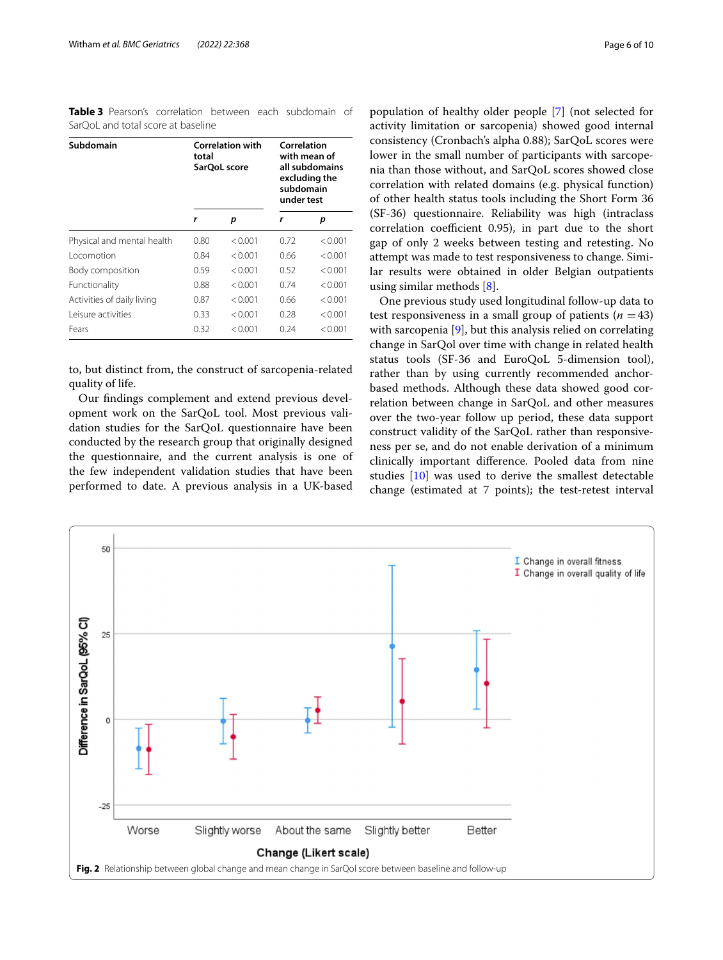<span id="page-5-0"></span>**Table 3** Pearson's correlation between each subdomain of SarOoL and total score at baseline

| Subdomain                  | total | <b>Correlation with</b><br>SarOoL score | Correlation<br>with mean of<br>all subdomains<br>excluding the<br>subdomain<br>under test |         |  |
|----------------------------|-------|-----------------------------------------|-------------------------------------------------------------------------------------------|---------|--|
|                            | r     | p                                       | r                                                                                         | р       |  |
| Physical and mental health | 0.80  | < 0.001                                 | 0.72                                                                                      | < 0.001 |  |
| Locomotion                 | 0.84  | < 0.001                                 | 0.66                                                                                      | < 0.001 |  |
| Body composition           | 0.59  | < 0.001                                 | 0.52                                                                                      | < 0.001 |  |
| Functionality              | 0.88  | < 0.001                                 | 0.74                                                                                      | < 0.001 |  |
| Activities of daily living | 0.87  | < 0.001                                 | 0.66                                                                                      | < 0.001 |  |
| Leisure activities         | 0.33  | < 0.001                                 | 0.28                                                                                      | < 0.001 |  |
| Fears                      | 0.32  | < 0.001                                 | 0.24                                                                                      | < 0.001 |  |

to, but distinct from, the construct of sarcopenia-related quality of life.

Our fndings complement and extend previous development work on the SarQoL tool. Most previous validation studies for the SarQoL questionnaire have been conducted by the research group that originally designed the questionnaire, and the current analysis is one of the few independent validation studies that have been performed to date. A previous analysis in a UK-based population of healthy older people [[7\]](#page-9-5) (not selected for activity limitation or sarcopenia) showed good internal consistency (Cronbach's alpha 0.88); SarQoL scores were lower in the small number of participants with sarcopenia than those without, and SarQoL scores showed close correlation with related domains (e.g. physical function) of other health status tools including the Short Form 36 (SF-36) questionnaire. Reliability was high (intraclass correlation coefficient  $0.95$ ), in part due to the short gap of only 2 weeks between testing and retesting. No attempt was made to test responsiveness to change. Similar results were obtained in older Belgian outpatients using similar methods [[8\]](#page-9-6).

One previous study used longitudinal follow-up data to test responsiveness in a small group of patients  $(n = 43)$ with sarcopenia [[9\]](#page-9-19), but this analysis relied on correlating change in SarQol over time with change in related health status tools (SF-36 and EuroQoL 5-dimension tool), rather than by using currently recommended anchorbased methods. Although these data showed good correlation between change in SarQoL and other measures over the two-year follow up period, these data support construct validity of the SarQoL rather than responsiveness per se, and do not enable derivation of a minimum clinically important diference. Pooled data from nine studies [[10](#page-9-7)] was used to derive the smallest detectable change (estimated at 7 points); the test-retest interval

<span id="page-5-1"></span>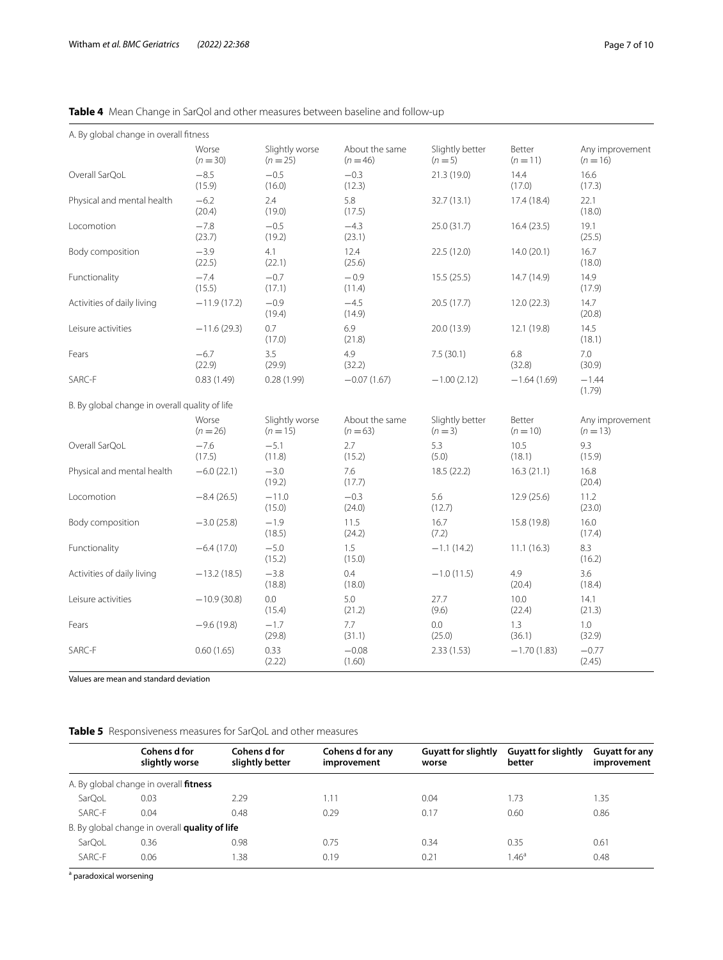# <span id="page-6-0"></span>**Table 4** Mean Change in SarQol and other measures between baseline and follow-up

| A. By global change in overall fitness         |                     |                              |                              |                            |                      |                               |
|------------------------------------------------|---------------------|------------------------------|------------------------------|----------------------------|----------------------|-------------------------------|
|                                                | Worse<br>$(n = 30)$ | Slightly worse<br>$(n = 25)$ | About the same<br>$(n = 46)$ | Slightly better<br>$(n=5)$ | Better<br>$(n = 11)$ | Any improvement<br>$(n = 16)$ |
| Overall SarQoL                                 | $-8.5$<br>(15.9)    | $-0.5$<br>(16.0)             | $-0.3$<br>(12.3)             | 21.3 (19.0)                | 14.4<br>(17.0)       | 16.6<br>(17.3)                |
| Physical and mental health                     | $-6.2$<br>(20.4)    | 2.4<br>(19.0)                | 5.8<br>(17.5)                | 32.7 (13.1)                | 17.4 (18.4)          | 22.1<br>(18.0)                |
| Locomotion                                     | $-7.8$<br>(23.7)    | $-0.5$<br>(19.2)             | $-4.3$<br>(23.1)             | 25.0 (31.7)                | 16.4(23.5)           | 19.1<br>(25.5)                |
| Body composition                               | $-3.9$<br>(22.5)    | 4.1<br>(22.1)                | 12.4<br>(25.6)               | 22.5 (12.0)                | 14.0(20.1)           | 16.7<br>(18.0)                |
| Functionality                                  | $-7.4$<br>(15.5)    | $-0.7$<br>(17.1)             | $-0.9$<br>(11.4)             | 15.5(25.5)                 | 14.7 (14.9)          | 14.9<br>(17.9)                |
| Activities of daily living                     | $-11.9(17.2)$       | $-0.9$<br>(19.4)             | $-4.5$<br>(14.9)             | 20.5 (17.7)                | 12.0(22.3)           | 14.7<br>(20.8)                |
| Leisure activities                             | $-11.6(29.3)$       | 0.7<br>(17.0)                | 6.9<br>(21.8)                | 20.0 (13.9)                | 12.1 (19.8)          | 14.5<br>(18.1)                |
| Fears                                          | $-6.7$<br>(22.9)    | 3.5<br>(29.9)                | 4.9<br>(32.2)                | 7.5(30.1)                  | 6.8<br>(32.8)        | 7.0<br>(30.9)                 |
| SARC-F                                         | 0.83(1.49)          | 0.28(1.99)                   | $-0.07(1.67)$                | $-1.00(2.12)$              | $-1.64(1.69)$        | $-1.44$<br>(1.79)             |
| B. By global change in overall quality of life |                     |                              |                              |                            |                      |                               |
|                                                | Worse<br>$(n = 26)$ | Slightly worse<br>$(n = 15)$ | About the same<br>$(n=63)$   | Slightly better<br>$(n=3)$ | Better<br>$(n = 10)$ | Any improvement<br>$(n = 13)$ |
| Overall SarQoL                                 | $-7.6$<br>(17.5)    | $-5.1$<br>(11.8)             | 2.7<br>(15.2)                | 5.3<br>(5.0)               | 10.5<br>(18.1)       | 9.3<br>(15.9)                 |
| Physical and mental health                     | $-6.0(22.1)$        | $-3.0$<br>(19.2)             | 7.6<br>(17.7)                | 18.5 (22.2)                | 16.3(21.1)           | 16.8<br>(20.4)                |
| Locomotion                                     | $-8.4(26.5)$        | $-11.0$<br>(15.0)            | $-0.3$<br>(24.0)             | 5.6<br>(12.7)              | 12.9(25.6)           | 11.2<br>(23.0)                |
| Body composition                               | $-3.0(25.8)$        | $-1.9$<br>(18.5)             | 11.5<br>(24.2)               | 16.7<br>(7.2)              | 15.8 (19.8)          | 16.0<br>(17.4)                |
| Functionality                                  | $-6.4(17.0)$        | $-5.0$<br>(15.2)             | 1.5<br>(15.0)                | $-1.1(14.2)$               | 11.1(16.3)           | 8.3<br>(16.2)                 |
| Activities of daily living                     | $-13.2(18.5)$       | $-3.8$<br>(18.8)             | 0.4<br>(18.0)                | $-1.0(11.5)$               | 4.9<br>(20.4)        | 3.6<br>(18.4)                 |
| Leisure activities                             | $-10.9(30.8)$       | 0.0<br>(15.4)                | 5.0<br>(21.2)                | 27.7<br>(9.6)              | 10.0<br>(22.4)       | 14.1<br>(21.3)                |
| Fears                                          | $-9.6(19.8)$        | $-1.7$<br>(29.8)             | 7.7<br>(31.1)                | 0.0<br>(25.0)              | 1.3<br>(36.1)        | 1.0<br>(32.9)                 |
| SARC-F                                         | 0.60(1.65)          | 0.33<br>(2.22)               | $-0.08$<br>(1.60)            | 2.33(1.53)                 | $-1.70(1.83)$        | $-0.77$<br>(2.45)             |

Values are mean and standard deviation

# <span id="page-6-1"></span>**Table 5** Responsiveness measures for SarQoL and other measures

|        | Cohens d for<br>slightly worse                 | Cohens d for<br>slightly better | Cohens d for any<br>improvement | <b>Guyatt for slightly</b><br>worse | <b>Guyatt for slightly</b><br>better | <b>Guyatt for any</b><br>improvement |
|--------|------------------------------------------------|---------------------------------|---------------------------------|-------------------------------------|--------------------------------------|--------------------------------------|
|        | A. By global change in overall <b>fitness</b>  |                                 |                                 |                                     |                                      |                                      |
| SarQoL | 0.03                                           | 2.29                            | 1.11                            | 0.04                                | 1.73                                 | 1.35                                 |
| SARC-F | 0.04                                           | 0.48                            | 0.29                            | 0.17                                | 0.60                                 | 0.86                                 |
|        | B. By global change in overall quality of life |                                 |                                 |                                     |                                      |                                      |
| SarQoL | 0.36                                           | 0.98                            | 0.75                            | 0.34                                | 0.35                                 | 0.61                                 |
| SARC-F | 0.06                                           | 1.38                            | 0.19                            | 0.21                                | 1.46 <sup>a</sup>                    | 0.48                                 |

<sup>a</sup> paradoxical worsening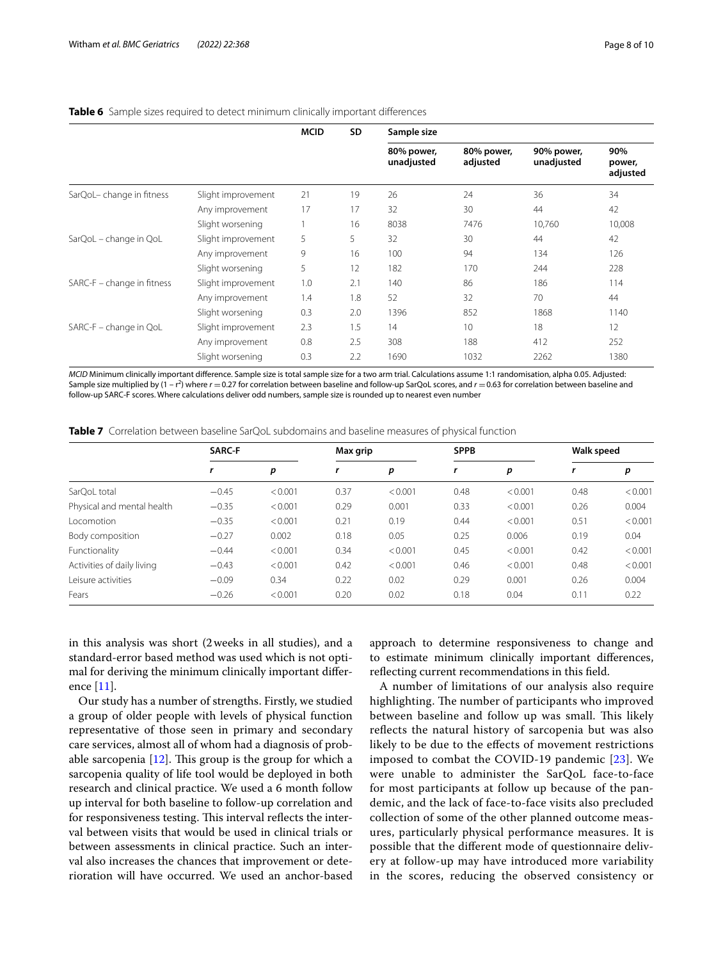|                            |                    | <b>MCID</b> | SD. | Sample size              |                        |                          |                           |  |  |
|----------------------------|--------------------|-------------|-----|--------------------------|------------------------|--------------------------|---------------------------|--|--|
|                            |                    |             |     | 80% power,<br>unadjusted | 80% power,<br>adjusted | 90% power,<br>unadjusted | 90%<br>power,<br>adjusted |  |  |
| SarQoL-change in fitness   | Slight improvement | 21          | 19  | 26                       | 24                     | 36                       | 34                        |  |  |
|                            | Any improvement    | 17          | 17  | 32                       | 30                     | 44                       | 42                        |  |  |
|                            | Slight worsening   |             | 16  | 8038                     | 7476                   | 10,760                   | 10,008                    |  |  |
| SarQoL - change in QoL     | Slight improvement | 5           | 5   | 32                       | 30                     | 44                       | 42                        |  |  |
|                            | Any improvement    | 9           | 16  | 100                      | 94                     | 134                      | 126                       |  |  |
|                            | Slight worsening   | 5           | 12  | 182                      | 170                    | 244                      | 228                       |  |  |
| SARC-F - change in fitness | Slight improvement | 1.0         | 2.1 | 140                      | 86                     | 186                      | 114                       |  |  |
|                            | Any improvement    | 1.4         | 1.8 | 52                       | 32                     | 70                       | 44                        |  |  |
|                            | Slight worsening   | 0.3         | 2.0 | 1396                     | 852                    | 1868                     | 1140                      |  |  |
| SARC-F - change in QoL     | Slight improvement | 2.3         | 1.5 | 14                       | 10                     | 18                       | 12                        |  |  |
|                            | Any improvement    | 0.8         | 2.5 | 308                      | 188                    | 412                      | 252                       |  |  |
|                            | Slight worsening   | 0.3         | 2.2 | 1690                     | 1032                   | 2262                     | 1380                      |  |  |

#### <span id="page-7-0"></span>**Table 6** Sample sizes required to detect minimum clinically important differences

*MCID* Minimum clinically important difference. Sample size is total sample size for a two arm trial. Calculations assume 1:1 randomisation, alpha 0.05. Adjusted: Sample size multiplied by (1 – r<sup>2</sup>) where *r* = 0.27 for correlation between baseline and follow-up SarQoL scores, and *r* = 0.63 for correlation between baseline and follow-up SARC-F scores. Where calculations deliver odd numbers, sample size is rounded up to nearest even number

| SARC-F |  | Max grip |  | <b>SPPB</b> |  | <b>Walk speed</b> |  |
|--------|--|----------|--|-------------|--|-------------------|--|
|        |  |          |  |             |  |                   |  |

<span id="page-7-1"></span>**Table 7** Correlation between baseline SarQoL subdomains and baseline measures of physical function

|                            | <b>SAKL-F</b> |         | Max grip |         |      | <b>ЭРРВ</b> |      | waik speed |  |
|----------------------------|---------------|---------|----------|---------|------|-------------|------|------------|--|
|                            |               | р       | r        | p       |      | p           |      | p          |  |
| SarQoL total               | $-0.45$       | < 0.001 | 0.37     | < 0.001 | 0.48 | < 0.001     | 0.48 | < 0.001    |  |
| Physical and mental health | $-0.35$       | < 0.001 | 0.29     | 0.001   | 0.33 | < 0.001     | 0.26 | 0.004      |  |
| Locomotion                 | $-0.35$       | < 0.001 | 0.21     | 0.19    | 0.44 | < 0.001     | 0.51 | < 0.001    |  |
| Body composition           | $-0.27$       | 0.002   | 0.18     | 0.05    | 0.25 | 0.006       | 0.19 | 0.04       |  |
| Functionality              | $-0.44$       | < 0.001 | 0.34     | < 0.001 | 0.45 | < 0.001     | 0.42 | < 0.001    |  |
| Activities of daily living | $-0.43$       | < 0.001 | 0.42     | < 0.001 | 0.46 | < 0.001     | 0.48 | < 0.001    |  |
| Leisure activities         | $-0.09$       | 0.34    | 0.22     | 0.02    | 0.29 | 0.001       | 0.26 | 0.004      |  |
| Fears                      | $-0.26$       | < 0.001 | 0.20     | 0.02    | 0.18 | 0.04        | 0.11 | 0.22       |  |
|                            |               |         |          |         |      |             |      |            |  |

in this analysis was short (2weeks in all studies), and a standard-error based method was used which is not optimal for deriving the minimum clinically important diference  $[11]$  $[11]$ .

Our study has a number of strengths. Firstly, we studied a group of older people with levels of physical function representative of those seen in primary and secondary care services, almost all of whom had a diagnosis of probable sarcopenia  $[12]$ . This group is the group for which a sarcopenia quality of life tool would be deployed in both research and clinical practice. We used a 6 month follow up interval for both baseline to follow-up correlation and for responsiveness testing. This interval reflects the interval between visits that would be used in clinical trials or between assessments in clinical practice. Such an interval also increases the chances that improvement or deterioration will have occurred. We used an anchor-based

approach to determine responsiveness to change and to estimate minimum clinically important diferences, refecting current recommendations in this feld.

A number of limitations of our analysis also require highlighting. The number of participants who improved between baseline and follow up was small. This likely refects the natural history of sarcopenia but was also likely to be due to the efects of movement restrictions imposed to combat the COVID-19 pandemic [[23\]](#page-9-20). We were unable to administer the SarQoL face-to-face for most participants at follow up because of the pandemic, and the lack of face-to-face visits also precluded collection of some of the other planned outcome measures, particularly physical performance measures. It is possible that the diferent mode of questionnaire delivery at follow-up may have introduced more variability in the scores, reducing the observed consistency or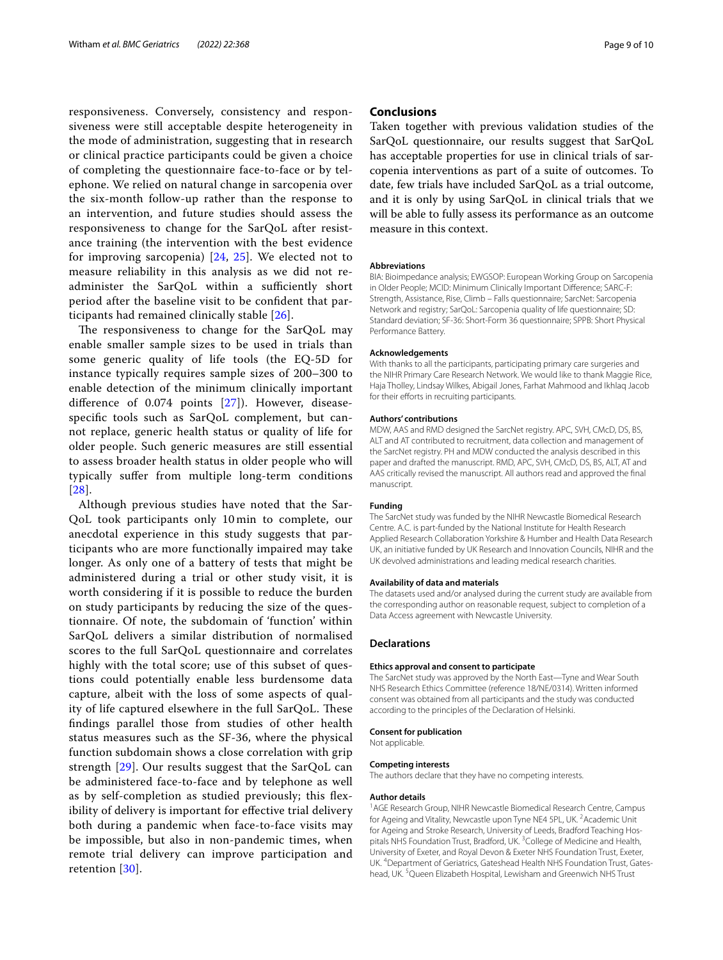responsiveness. Conversely, consistency and responsiveness were still acceptable despite heterogeneity in the mode of administration, suggesting that in research or clinical practice participants could be given a choice of completing the questionnaire face-to-face or by telephone. We relied on natural change in sarcopenia over the six-month follow-up rather than the response to an intervention, and future studies should assess the responsiveness to change for the SarQoL after resistance training (the intervention with the best evidence for improving sarcopenia) [[24](#page-9-21), [25\]](#page-9-22). We elected not to measure reliability in this analysis as we did not readminister the SarQoL within a sufficiently short period after the baseline visit to be confdent that participants had remained clinically stable [\[26](#page-9-23)].

The responsiveness to change for the SarQoL may enable smaller sample sizes to be used in trials than some generic quality of life tools (the EQ-5D for instance typically requires sample sizes of 200–300 to enable detection of the minimum clinically important diference of 0.074 points [[27](#page-9-24)]). However, diseasespecifc tools such as SarQoL complement, but cannot replace, generic health status or quality of life for older people. Such generic measures are still essential to assess broader health status in older people who will typically sufer from multiple long-term conditions [[28](#page-9-25)].

Although previous studies have noted that the Sar-QoL took participants only 10 min to complete, our anecdotal experience in this study suggests that participants who are more functionally impaired may take longer. As only one of a battery of tests that might be administered during a trial or other study visit, it is worth considering if it is possible to reduce the burden on study participants by reducing the size of the questionnaire. Of note, the subdomain of 'function' within SarQoL delivers a similar distribution of normalised scores to the full SarQoL questionnaire and correlates highly with the total score; use of this subset of questions could potentially enable less burdensome data capture, albeit with the loss of some aspects of quality of life captured elsewhere in the full  $SarQoL$ . These fndings parallel those from studies of other health status measures such as the SF-36, where the physical function subdomain shows a close correlation with grip strength [\[29\]](#page-9-26). Our results suggest that the SarQoL can be administered face-to-face and by telephone as well as by self-completion as studied previously; this fexibility of delivery is important for efective trial delivery both during a pandemic when face-to-face visits may be impossible, but also in non-pandemic times, when remote trial delivery can improve participation and retention [\[30\]](#page-9-27).

## **Conclusions**

Taken together with previous validation studies of the SarQoL questionnaire, our results suggest that SarQoL has acceptable properties for use in clinical trials of sarcopenia interventions as part of a suite of outcomes. To date, few trials have included SarQoL as a trial outcome, and it is only by using SarQoL in clinical trials that we will be able to fully assess its performance as an outcome measure in this context.

#### **Abbreviations**

BIA: Bioimpedance analysis; EWGSOP: European Working Group on Sarcopenia in Older People; MCID: Minimum Clinically Important Diference; SARC-F: Strength, Assistance, Rise, Climb – Falls questionnaire; SarcNet: Sarcopenia Network and registry; SarQoL: Sarcopenia quality of life questionnaire; SD: Standard deviation; SF-36: Short-Form 36 questionnaire; SPPB: Short Physical Performance Battery.

#### **Acknowledgements**

With thanks to all the participants, participating primary care surgeries and the NIHR Primary Care Research Network. We would like to thank Maggie Rice, Haja Tholley, Lindsay Wilkes, Abigail Jones, Farhat Mahmood and Ikhlaq Jacob for their efforts in recruiting participants.

#### **Authors' contributions**

MDW, AAS and RMD designed the SarcNet registry. APC, SVH, CMcD, DS, BS, ALT and AT contributed to recruitment, data collection and management of the SarcNet registry. PH and MDW conducted the analysis described in this paper and drafted the manuscript. RMD, APC, SVH, CMcD, DS, BS, ALT, AT and AAS critically revised the manuscript. All authors read and approved the fnal manuscript.

#### **Funding**

The SarcNet study was funded by the NIHR Newcastle Biomedical Research Centre. A.C. is part-funded by the National Institute for Health Research Applied Research Collaboration Yorkshire & Humber and Health Data Research UK, an initiative funded by UK Research and Innovation Councils, NIHR and the UK devolved administrations and leading medical research charities.

#### **Availability of data and materials**

The datasets used and/or analysed during the current study are available from the corresponding author on reasonable request, subject to completion of a Data Access agreement with Newcastle University.

#### **Declarations**

#### **Ethics approval and consent to participate**

The SarcNet study was approved by the North East—Tyne and Wear South NHS Research Ethics Committee (reference 18/NE/0314). Written informed consent was obtained from all participants and the study was conducted according to the principles of the Declaration of Helsinki.

#### **Consent for publication**

Not applicable.

#### **Competing interests**

The authors declare that they have no competing interests.

#### **Author details**

<sup>1</sup> AGE Research Group, NIHR Newcastle Biomedical Research Centre, Campus for Ageing and Vitality, Newcastle upon Tyne NE4 5PL, UK.<sup>2</sup> Academic Unit for Ageing and Stroke Research, University of Leeds, Bradford Teaching Hospitals NHS Foundation Trust, Bradford, UK.<sup>3</sup> College of Medicine and Health, University of Exeter, and Royal Devon & Exeter NHS Foundation Trust, Exeter, UK. <sup>4</sup> Department of Geriatrics, Gateshead Health NHS Foundation Trust, Gateshead, UK.<sup>5</sup> Queen Elizabeth Hospital, Lewisham and Greenwich NHS Trust